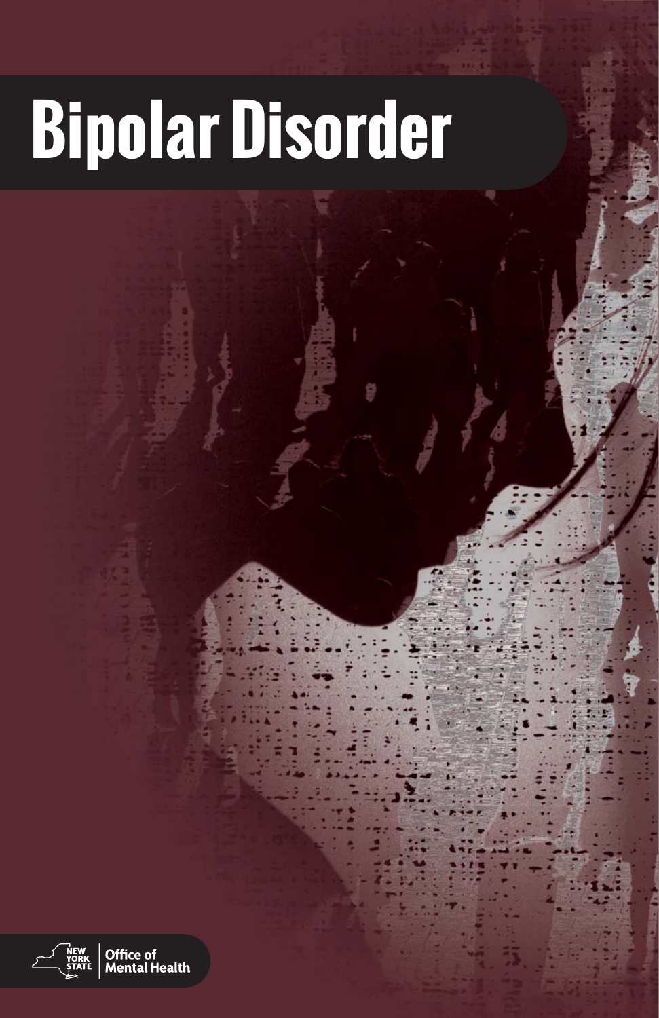# **Bipolar Disorder**

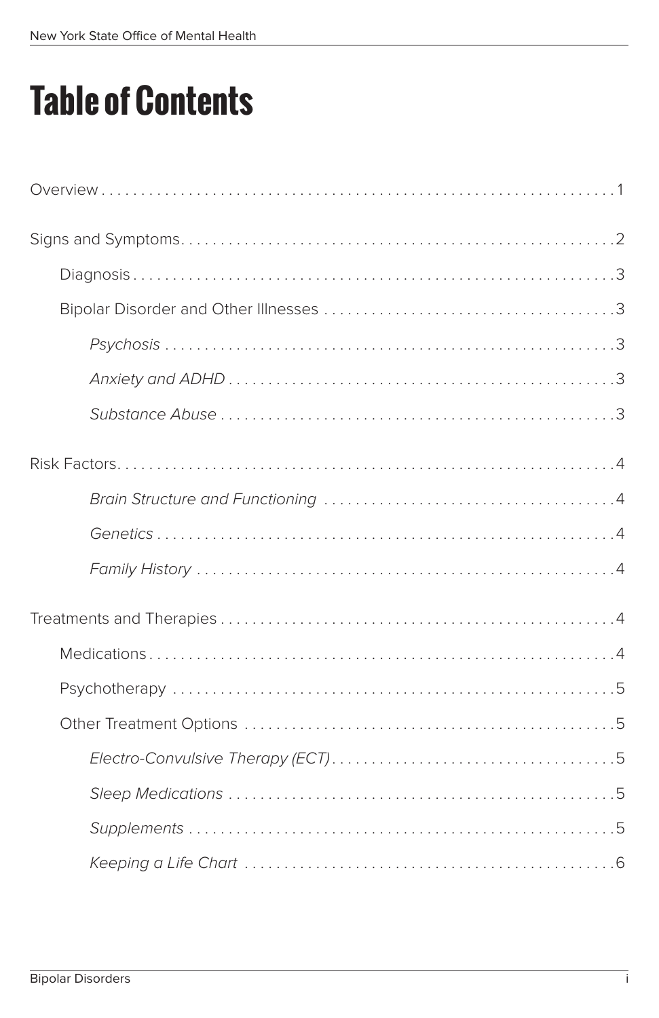## **Table of Contents**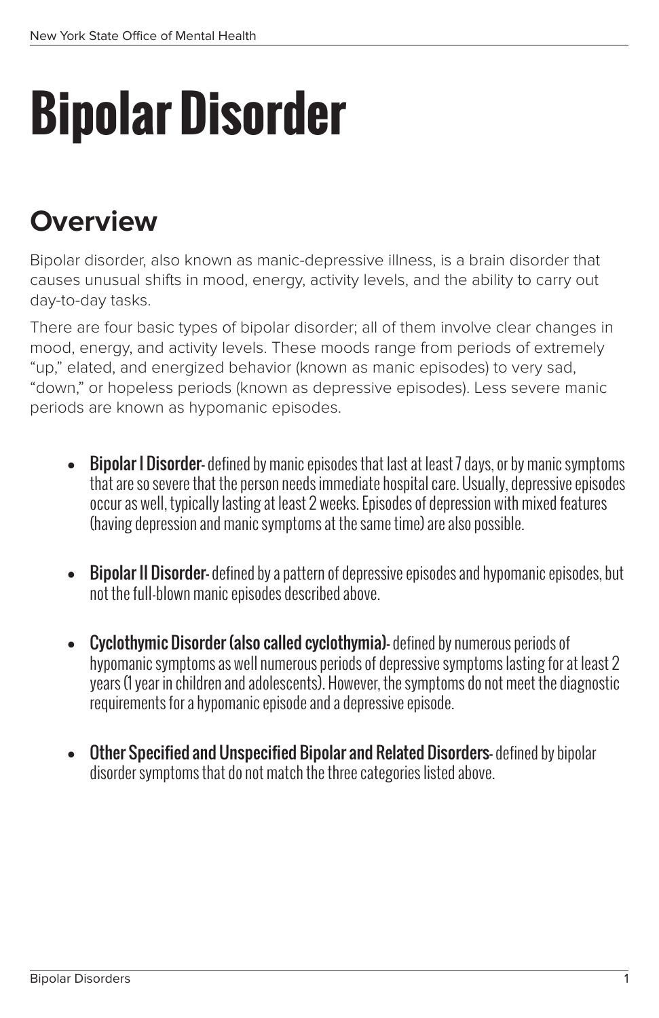## **Bipolar Disorder**

### **Overview**

Bipolar disorder, also known as manic-depressive illness, is a brain disorder that causes unusual shifts in mood, energy, activity levels, and the ability to carry out day-to-day tasks.

There are four basic types of bipolar disorder; all of them involve clear changes in mood, energy, and activity levels. These moods range from periods of extremely "up," elated, and energized behavior (known as manic episodes) to very sad, "down," or hopeless periods (known as depressive episodes). Less severe manic periods are known as hypomanic episodes.

- $\bullet$  **Bipolar I Disorder** defined by manic episodes that last at least 7 days, or by manic symptoms that are so severe that the person needs immediate hospital care. Usually, depressive episodes occur as well, typically lasting at least 2 weeks. Episodes of depression with mixed features (having depression and manic symptoms at the same time) are also possible.
- **Bipolar II Disorder-** defined by a pattern of depressive episodes and hypomanic episodes, but not the full-blown manic episodes described above.
- Cyclothymic Disorder (also called cyclothymia)-defined by numerous periods of hypomanic symptoms as well numerous periods of depressive symptoms lasting for at least 2 years (1 year in children and adolescents). However, the symptoms do not meet the diagnostic requirements for a hypomanic episode and a depressive episode.
- Other Specified and Unspecified Bipolar and Related Disorders-defined by bipolar disorder symptoms that do not match the three categories listed above.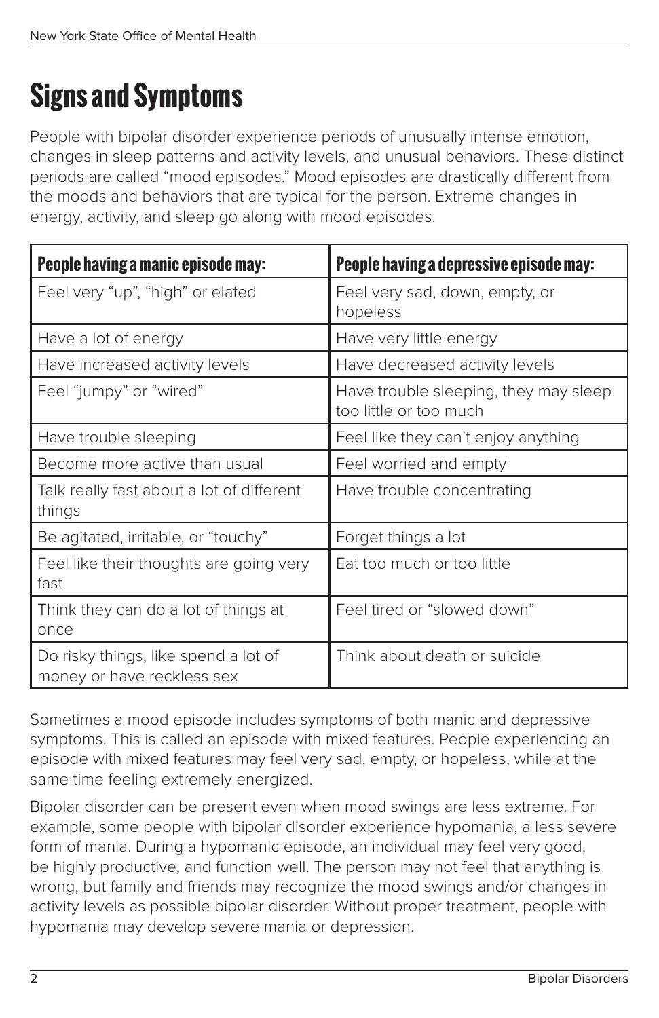## **Signs and Symptoms**

People with bipolar disorder experience periods of unusually intense emotion, changes in sleep patterns and activity levels, and unusual behaviors. These distinct periods are called "mood episodes." Mood episodes are drastically different from the moods and behaviors that are typical for the person. Extreme changes in energy, activity, and sleep go along with mood episodes.

| People having a manic episode may:                                 | People having a depressive episode may:                         |
|--------------------------------------------------------------------|-----------------------------------------------------------------|
| Feel very "up", "high" or elated                                   | Feel very sad, down, empty, or<br>hopeless                      |
| Have a lot of energy                                               | Have very little energy                                         |
| Have increased activity levels                                     | Have decreased activity levels                                  |
| Feel "jumpy" or "wired"                                            | Have trouble sleeping, they may sleep<br>too little or too much |
| Have trouble sleeping                                              | Feel like they can't enjoy anything                             |
| Become more active than usual                                      | Feel worried and empty                                          |
| Talk really fast about a lot of different<br>things                | Have trouble concentrating                                      |
| Be agitated, irritable, or "touchy"                                | Forget things a lot                                             |
| Feel like their thoughts are going very<br>fast                    | Eat too much or too little                                      |
| Think they can do a lot of things at<br>once                       | Feel tired or "slowed down"                                     |
| Do risky things, like spend a lot of<br>money or have reckless sex | Think about death or suicide                                    |

Sometimes a mood episode includes symptoms of both manic and depressive symptoms. This is called an episode with mixed features. People experiencing an episode with mixed features may feel very sad, empty, or hopeless, while at the same time feeling extremely energized.

Bipolar disorder can be present even when mood swings are less extreme. For example, some people with bipolar disorder experience hypomania, a less severe form of mania. During a hypomanic episode, an individual may feel very good, be highly productive, and function well. The person may not feel that anything is wrong, but family and friends may recognize the mood swings and/or changes in activity levels as possible bipolar disorder. Without proper treatment, people with hypomania may develop severe mania or depression.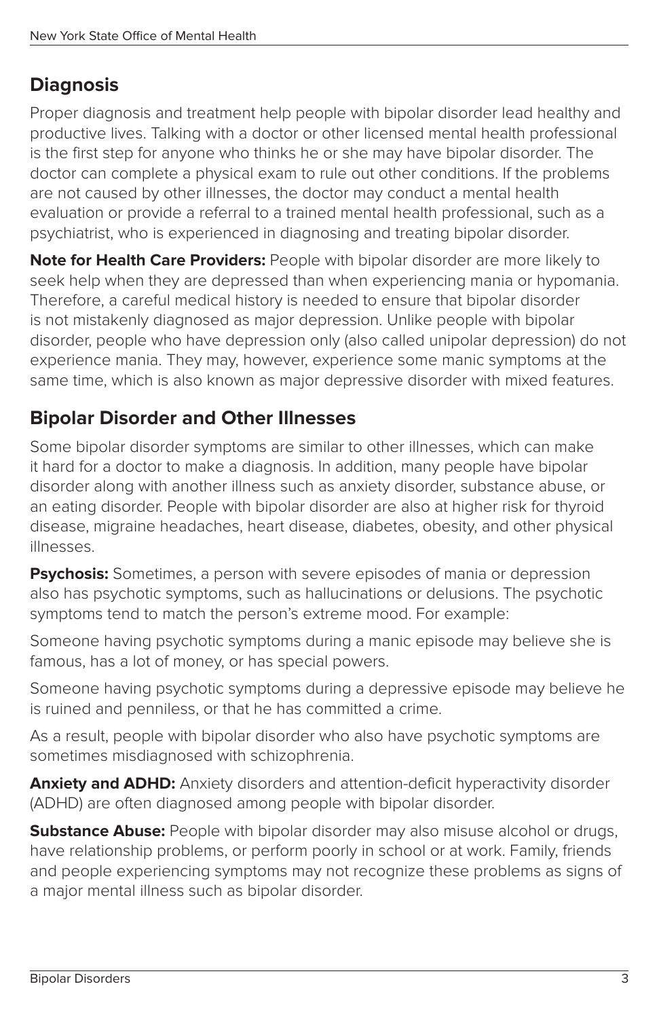#### **Diagnosis**

Proper diagnosis and treatment help people with bipolar disorder lead healthy and productive lives. Talking with a doctor or other licensed mental health professional is the first step for anyone who thinks he or she may have bipolar disorder. The doctor can complete a physical exam to rule out other conditions. If the problems are not caused by other illnesses, the doctor may conduct a mental health evaluation or provide a referral to a trained mental health professional, such as a psychiatrist, who is experienced in diagnosing and treating bipolar disorder.

**Note for Health Care Providers:** People with bipolar disorder are more likely to seek help when they are depressed than when experiencing mania or hypomania. Therefore, a careful medical history is needed to ensure that bipolar disorder is not mistakenly diagnosed as major depression. Unlike people with bipolar disorder, people who have depression only (also called unipolar depression) do not experience mania. They may, however, experience some manic symptoms at the same time, which is also known as major depressive disorder with mixed features.

#### **Bipolar Disorder and Other Illnesses**

Some bipolar disorder symptoms are similar to other illnesses, which can make it hard for a doctor to make a diagnosis. In addition, many people have bipolar disorder along with another illness such as anxiety disorder, substance abuse, or an eating disorder. People with bipolar disorder are also at higher risk for thyroid disease, migraine headaches, heart disease, diabetes, obesity, and other physical illnesses.

**Psychosis:** Sometimes, a person with severe episodes of mania or depression also has psychotic symptoms, such as hallucinations or delusions. The psychotic symptoms tend to match the person's extreme mood. For example:

Someone having psychotic symptoms during a manic episode may believe she is famous, has a lot of money, or has special powers.

Someone having psychotic symptoms during a depressive episode may believe he is ruined and penniless, or that he has committed a crime.

As a result, people with bipolar disorder who also have psychotic symptoms are sometimes misdiagnosed with schizophrenia.

**Anxiety and ADHD:** Anxiety disorders and attention-deficit hyperactivity disorder (ADHD) are often diagnosed among people with bipolar disorder.

**Substance Abuse:** People with bipolar disorder may also misuse alcohol or drugs, have relationship problems, or perform poorly in school or at work. Family, friends and people experiencing symptoms may not recognize these problems as signs of a major mental illness such as bipolar disorder.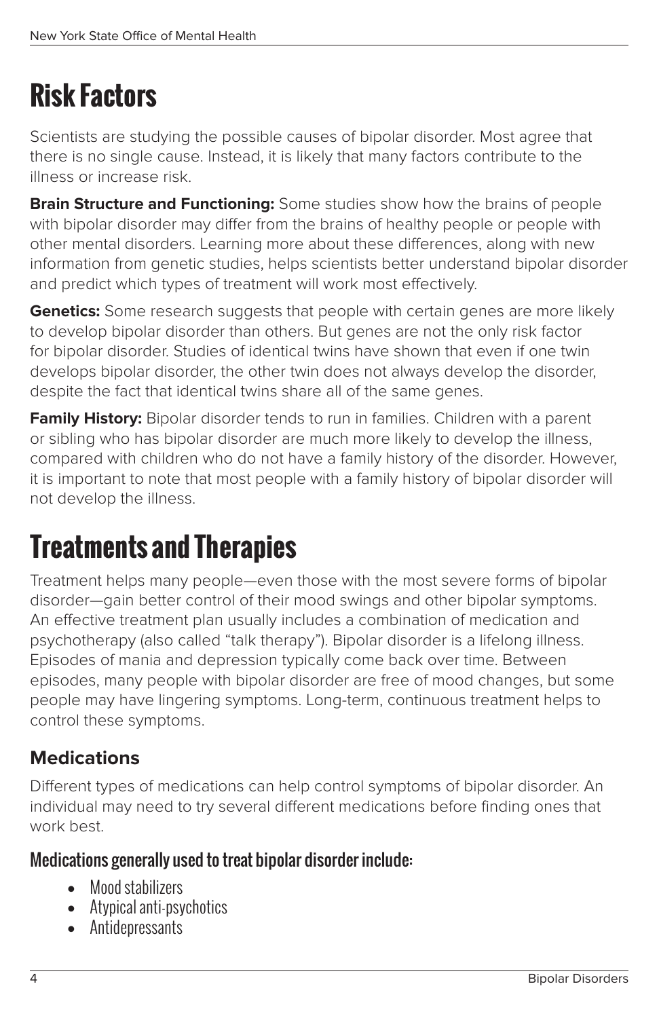## **Risk Factors**

Scientists are studying the possible causes of bipolar disorder. Most agree that there is no single cause. Instead, it is likely that many factors contribute to the illness or increase risk.

**Brain Structure and Functioning:** Some studies show how the brains of people with bipolar disorder may differ from the brains of healthy people or people with other mental disorders. Learning more about these differences, along with new information from genetic studies, helps scientists better understand bipolar disorder and predict which types of treatment will work most effectively.

**Genetics:** Some research suggests that people with certain genes are more likely to develop bipolar disorder than others. But genes are not the only risk factor for bipolar disorder. Studies of identical twins have shown that even if one twin develops bipolar disorder, the other twin does not always develop the disorder, despite the fact that identical twins share all of the same genes.

**Family History:** Bipolar disorder tends to run in families. Children with a parent or sibling who has bipolar disorder are much more likely to develop the illness, compared with children who do not have a family history of the disorder. However, it is important to note that most people with a family history of bipolar disorder will not develop the illness.

## **Treatments and Therapies**

Treatment helps many people—even those with the most severe forms of bipolar disorder—gain better control of their mood swings and other bipolar symptoms. An effective treatment plan usually includes a combination of medication and psychotherapy (also called "talk therapy"). Bipolar disorder is a lifelong illness. Episodes of mania and depression typically come back over time. Between episodes, many people with bipolar disorder are free of mood changes, but some people may have lingering symptoms. Long-term, continuous treatment helps to control these symptoms.

#### **Medications**

Different types of medications can help control symptoms of bipolar disorder. An individual may need to try several different medications before finding ones that work best.

#### Medications generally used to treat bipolar disorder include:

- Mood stabilizers
- Atypical anti-psychotics
- Antidepressants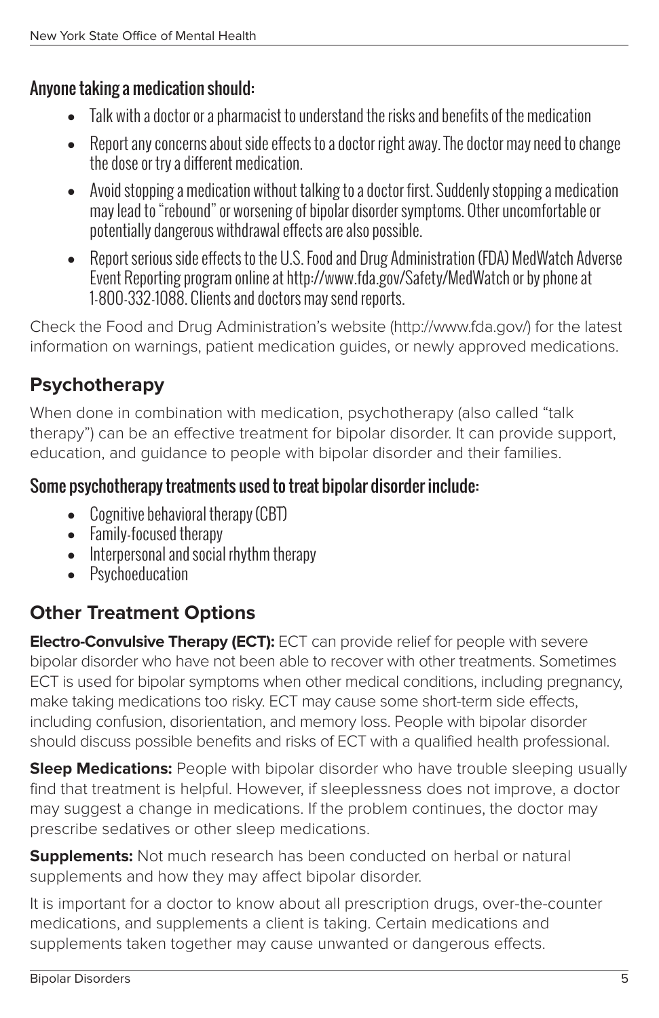#### Anyone taking a medication should:

- Talk with a doctor or a pharmacist to understand the risks and benefits of the medication
- Report any concerns about side effects to a doctor right away. The doctor may need to change the dose or try a different medication.
- Avoid stopping a medication without talking to a doctor first. Suddenly stopping a medication may lead to "rebound" or worsening of bipolar disorder symptoms. Other uncomfortable or potentially dangerous withdrawal effects are also possible.
- Report serious side effects to the U.S. Food and Drug Administration (FDA) MedWatch Adverse Event Reporting program online at http://www.fda.gov/Safety/MedWatch or by phone at 1-800-332-1088. Clients and doctors may send reports.

Check the Food and Drug Administration's website (http://www.fda.gov/) for the latest information on warnings, patient medication guides, or newly approved medications.

#### **Psychotherapy**

When done in combination with medication, psychotherapy (also called "talk therapy") can be an effective treatment for bipolar disorder. It can provide support, education, and guidance to people with bipolar disorder and their families.

#### Some psychotherapy treatments used to treat bipolar disorder include:

- Cognitive behavioral therapy (CBT)
- Family-focused therapy
- Interpersonal and social rhythm therapy
- Psychoeducation

#### **Other Treatment Options**

**Electro-Convulsive Therapy (ECT):** ECT can provide relief for people with severe bipolar disorder who have not been able to recover with other treatments. Sometimes ECT is used for bipolar symptoms when other medical conditions, including pregnancy, make taking medications too risky. ECT may cause some short-term side effects, including confusion, disorientation, and memory loss. People with bipolar disorder should discuss possible benefits and risks of ECT with a qualified health professional.

**Sleep Medications:** People with bipolar disorder who have trouble sleeping usually find that treatment is helpful. However, if sleeplessness does not improve, a doctor may suggest a change in medications. If the problem continues, the doctor may prescribe sedatives or other sleep medications.

**Supplements:** Not much research has been conducted on herbal or natural supplements and how they may affect bipolar disorder.

It is important for a doctor to know about all prescription drugs, over-the-counter medications, and supplements a client is taking. Certain medications and supplements taken together may cause unwanted or dangerous effects.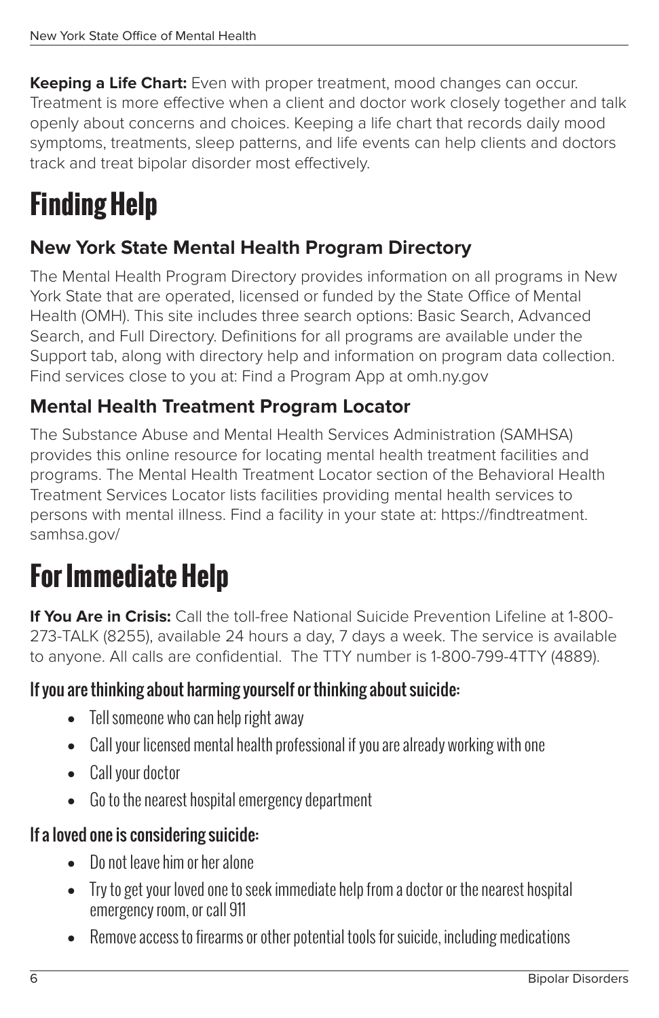**Keeping a Life Chart:** Even with proper treatment, mood changes can occur. Treatment is more effective when a client and doctor work closely together and talk openly about concerns and choices. Keeping a life chart that records daily mood symptoms, treatments, sleep patterns, and life events can help clients and doctors track and treat bipolar disorder most effectively.

## **Finding Help**

#### **New York State Mental Health Program Directory**

The Mental Health Program Directory provides information on all programs in New York State that are operated, licensed or funded by the State Office of Mental Health (OMH). This site includes three search options: Basic Search, Advanced Search, and Full Directory. Definitions for all programs are available under the Support tab, along with directory help and information on program data collection. Find services close to you at: Find a Program App at omh.ny.gov

#### **Mental Health Treatment Program Locator**

The Substance Abuse and Mental Health Services Administration (SAMHSA) provides this online resource for locating mental health treatment facilities and programs. The Mental Health Treatment Locator section of the Behavioral Health Treatment Services Locator lists facilities providing mental health services to persons with mental illness. Find a facility in your state at: https://findtreatment. samhsa.gov/

## **For Immediate Help**

**If You Are in Crisis:** Call the toll-free National Suicide Prevention Lifeline at 1-800-273-TALK (8255), available 24 hours a day, 7 days a week. The service is available to anyone. All calls are confidential. The TTY number is 1-800-799-4TTY (4889).

#### If you are thinking about harming yourself or thinking about suicide:

- Tell someone who can help right away
- Call your licensed mental health professional if you are already working with one
- Call your doctor
- Go to the nearest hospital emergency department

#### If a loved one is considering suicide:

- Do not leave him or her alone
- Try to get your loved one to seek immediate help from a doctor or the nearest hospital emergency room, or call 911
- Remove access to firearms or other potential tools for suicide, including medications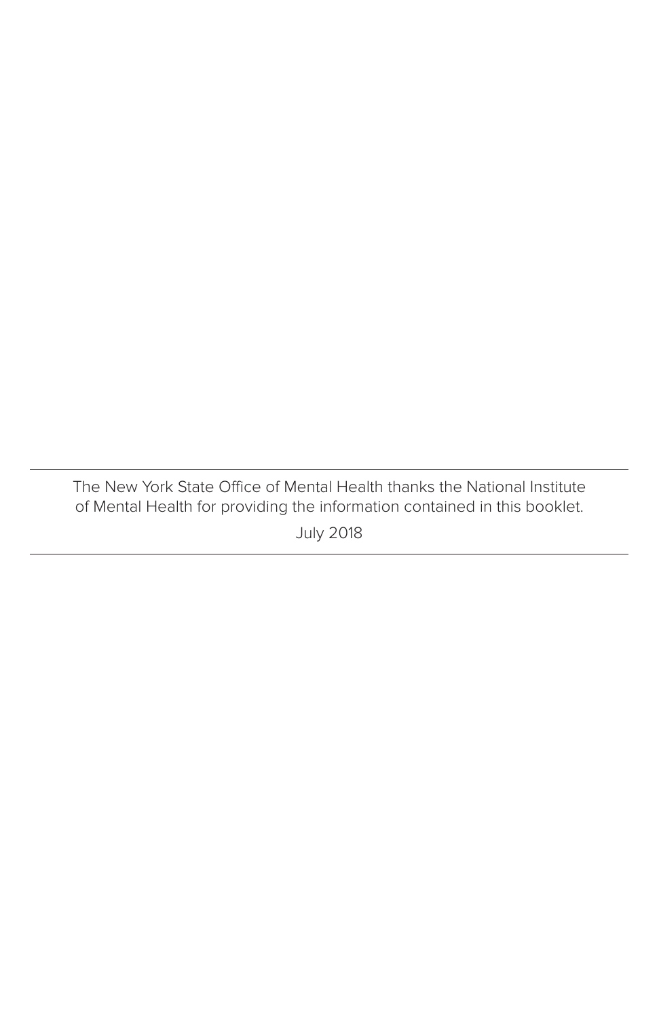The New York State Office of Mental Health thanks the National Institute of Mental Health for providing the information contained in this booklet. July 2018